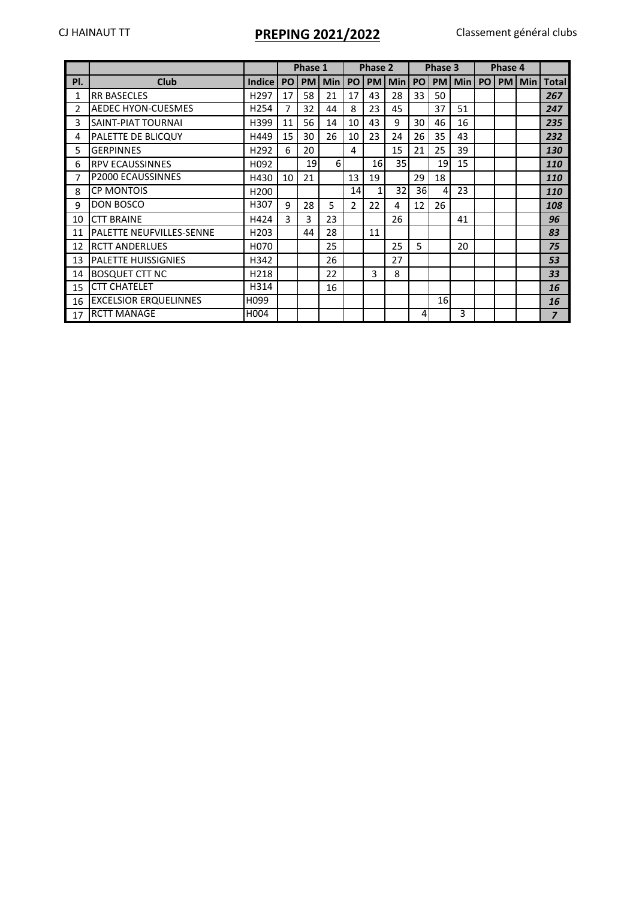## CJ HAINAUT TT **PREPING 2021/2022** Classement général clubs

|     |                                  |                  |    | Phase 1   |            |                | Phase 2    |                 |    | Phase 3   |            |    | Phase 4   |            |                |
|-----|----------------------------------|------------------|----|-----------|------------|----------------|------------|-----------------|----|-----------|------------|----|-----------|------------|----------------|
| PI. | <b>Club</b>                      | <b>Indice</b>    | PO | <b>PM</b> | <b>Min</b> | PO             | <b>PMI</b> | <b>Min</b>      | PO | <b>PM</b> | <b>Min</b> | PO | <b>PM</b> | <b>Min</b> | <b>Total</b>   |
| 1   | <b>RR BASECLES</b>               | H <sub>297</sub> | 17 | 58        | 21         | 17             | 43         | 28              | 33 | 50        |            |    |           |            | 267            |
| 2   | <b>AEDEC HYON-CUESMES</b>        | H <sub>254</sub> | 7  | 32        | 44         | 8              | 23         | 45              |    | 37        | 51         |    |           |            | 247            |
| 3   | SAINT-PIAT TOURNAI               | H399             | 11 | 56        | 14         | 10             | 43         | 9               | 30 | 46        | 16         |    |           |            | 235            |
| 4   | PALETTE DE BLICQUY               | H449             | 15 | 30        | 26         | 10             | 23         | 24              | 26 | 35        | 43         |    |           |            | 232            |
| 5   | <b>GERPINNES</b>                 | H <sub>292</sub> | 6  | 20        |            | 4              |            | 15              | 21 | 25        | 39         |    |           |            | 130            |
| 6   | <b>RPV ECAUSSINNES</b>           | H092             |    | 19        | $6 \mid$   |                | <b>16</b>  | 35 <sub>1</sub> |    | 19        | 15         |    |           |            | <b>110</b>     |
| 7   | P2000 ECAUSSINNES                | H430             | 10 | 21        |            | 13             | 19         |                 | 29 | 18        |            |    |           |            | <b>110</b>     |
| 8   | <b>CP MONTOIS</b>                | H <sub>200</sub> |    |           |            | 14             | 1          | 32              | 36 | 4         | 23         |    |           |            | <b>110</b>     |
| 9   | DON BOSCO                        | H307             | 9  | 28        | 5          | $\overline{2}$ | 22         | 4               | 12 | 26        |            |    |           |            | 108            |
| 10  | <b>CTT BRAINE</b>                | H424             | 3. | 3         | 23         |                |            | 26              |    |           | 41         |    |           |            | 96             |
| 11  | <b>IPALETTE NEUFVILLES-SENNE</b> | H <sub>203</sub> |    | 44        | 28         |                | 11         |                 |    |           |            |    |           |            | 83             |
| 12  | <b>IRCTT ANDERLUES</b>           | H070             |    |           | 25         |                |            | 25              | 5  |           | 20         |    |           |            | 75             |
| 13  | <b>IPALETTE HUISSIGNIES</b>      | H342             |    |           | 26         |                |            | 27              |    |           |            |    |           |            | 53             |
| 14  | <b>I</b> BOSQUET CTT NC          | H218             |    |           | 22         |                | 3          | 8               |    |           |            |    |           |            | 33             |
| 15  | <b>CTT CHATELET</b>              | H314             |    |           | 16         |                |            |                 |    |           |            |    |           |            | 16             |
| 16  | <b>EXCELSIOR ERQUELINNES</b>     | H099             |    |           |            |                |            |                 |    | 16        |            |    |           |            | 16             |
| 17  | <b>RCTT MANAGE</b>               | H004             |    |           |            |                |            |                 | 4  |           | 3          |    |           |            | $\overline{z}$ |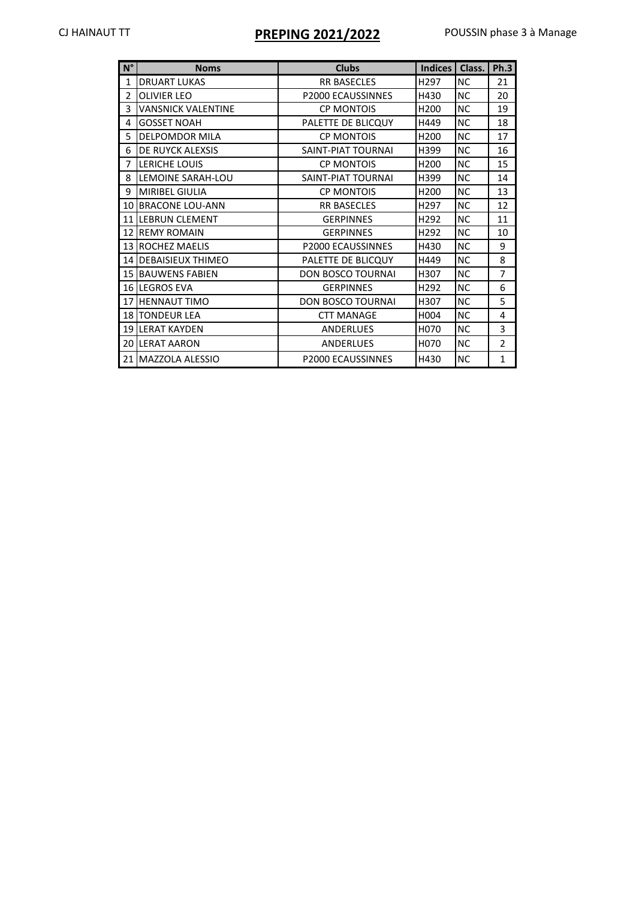# CJ HAINAUT TT **PREPING 2021/2022** POUSSIN phase 3 à Manage

| $N^{\circ}$     | <b>Noms</b>               | <b>Clubs</b>             | <b>Indices</b>   | Class.    | Ph.3           |
|-----------------|---------------------------|--------------------------|------------------|-----------|----------------|
| $\mathbf{1}$    | <b>DRUART LUKAS</b>       | <b>RR BASECLES</b>       | H297             | <b>NC</b> | 21             |
| 2               | <b>OLIVIER LEO</b>        | P2000 ECAUSSINNES        | H430             | <b>NC</b> | 20             |
| 3               | <b>VANSNICK VALENTINE</b> | <b>CP MONTOIS</b>        | H <sub>200</sub> | <b>NC</b> | 19             |
| 4               | <b>GOSSET NOAH</b>        | PALETTE DE BLICQUY       | H449             | <b>NC</b> | 18             |
| 5               | <b>DELPOMDOR MILA</b>     | <b>CP MONTOIS</b>        | H <sub>200</sub> | <b>NC</b> | 17             |
| 6               | DE RUYCK ALEXSIS          | SAINT-PIAT TOURNAL       | H399             | <b>NC</b> | 16             |
| $\overline{7}$  | LERICHE LOUIS             | <b>CP MONTOIS</b>        | H200             | <b>NC</b> | 15             |
| 8               | LEMOINE SARAH-LOU         | SAINT-PIAT TOURNAI       | H399             | <b>NC</b> | 14             |
| 9               | <b>MIRIBEL GIULIA</b>     | <b>CP MONTOIS</b>        | H <sub>200</sub> | <b>NC</b> | 13             |
| 10 <sup>1</sup> | <b>BRACONE LOU-ANN</b>    | <b>RR BASECLES</b>       | H297             | <b>NC</b> | 12             |
|                 | <b>11 ILEBRUN CLEMENT</b> | <b>GERPINNES</b>         | H <sub>292</sub> | <b>NC</b> | 11             |
| 12 <sup>1</sup> | <b>REMY ROMAIN</b>        | <b>GERPINNES</b>         | H <sub>292</sub> | <b>NC</b> | 10             |
|                 | <b>13 ROCHEZ MAELIS</b>   | <b>P2000 ECAUSSINNES</b> | H430             | <b>NC</b> | 9              |
|                 | 14 DEBAISIEUX THIMEO      | PALETTE DE BLICQUY       | H449             | <b>NC</b> | 8              |
|                 | <b>15 BAUWENS FABIEN</b>  | DON BOSCO TOURNAI        | H307             | <b>NC</b> | $\overline{7}$ |
|                 | <b>16 LEGROS EVA</b>      | <b>GERPINNES</b>         | H292             | <b>NC</b> | 6              |
| 17 <sup>1</sup> | <b>HENNAUT TIMO</b>       | DON BOSCO TOURNAI        | H307             | <b>NC</b> | 5              |
|                 | 18 TONDEUR LEA            | <b>CTT MANAGE</b>        | H004             | <b>NC</b> | 4              |
|                 | <b>19 LERAT KAYDEN</b>    | <b>ANDERLUES</b>         | H070             | <b>NC</b> | 3              |
| 20 l            | <b>LERAT AARON</b>        | ANDERLUES                | H070             | <b>NC</b> | $\overline{2}$ |
|                 | 21 MAZZOLA ALESSIO        | <b>P2000 ECAUSSINNES</b> | H430             | <b>NC</b> | $\mathbf{1}$   |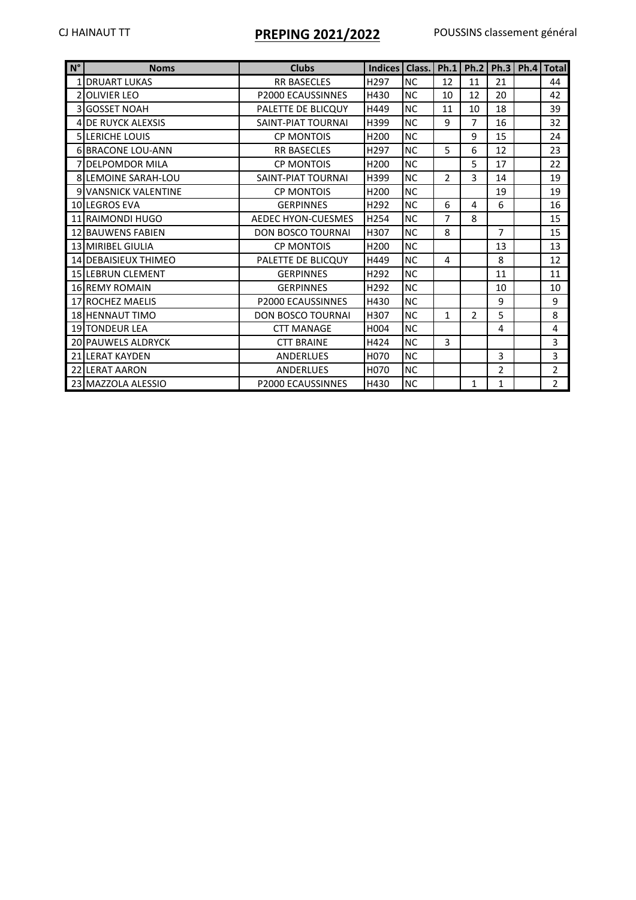## CJ HAINAUT TT **PREPING 2021/2022** POUSSINS classement général

| $N^{\circ}$ | <b>Noms</b>                 | <b>Clubs</b>             | Indices          | Class.    |                |                |                | Ph.1   Ph.2   Ph.3   Ph.4   Total |
|-------------|-----------------------------|--------------------------|------------------|-----------|----------------|----------------|----------------|-----------------------------------|
|             | <b>1 IDRUART LUKAS</b>      | <b>RR BASECLES</b>       | H <sub>297</sub> | NC        | 12             | 11             | 21             | 44                                |
|             | 2 OLIVIER LEO               | P2000 ECAUSSINNES        | H430             | NC        | 10             | 12             | 20             | 42                                |
|             | 3 GOSSET NOAH               | PALETTE DE BLICQUY       | H449             | NC.       | 11             | 10             | 18             | 39                                |
|             | <b>4 DE RUYCK ALEXSIS</b>   | SAINT-PIAT TOURNAL       | H399             | NC.       | 9              | $\overline{7}$ | 16             | 32                                |
|             | 5 LERICHE LOUIS             | <b>CP MONTOIS</b>        | H <sub>200</sub> | <b>NC</b> |                | 9              | 15             | 24                                |
|             | <b>6 BRACONE LOU-ANN</b>    | <b>RR BASECLES</b>       | H <sub>297</sub> | <b>NC</b> | 5              | 6              | 12             | 23                                |
|             | <b>7 DELPOMDOR MILA</b>     | <b>CP MONTOIS</b>        | H <sub>200</sub> | <b>NC</b> |                | 5              | 17             | 22                                |
|             | <b>8ILEMOINE SARAH-LOU</b>  | SAINT-PIAT TOURNAL       | H399             | NC        | $\overline{2}$ | 3              | 14             | 19                                |
|             | <b>9 VANSNICK VALENTINE</b> | <b>CP MONTOIS</b>        | H <sub>200</sub> | <b>NC</b> |                |                | 19             | 19                                |
|             | 10 LEGROS EVA               | <b>GERPINNES</b>         | H <sub>292</sub> | <b>NC</b> | 6              | 4              | 6              | 16                                |
|             | 11 RAIMONDI HUGO            | AEDEC HYON-CUESMES       | H254             | <b>NC</b> | 7              | 8              |                | 15                                |
|             | <b>12 BAUWENS FABIEN</b>    | <b>DON BOSCO TOURNAL</b> | H307             | NC.       | 8              |                | $\overline{7}$ | 15                                |
|             | <b>13 MIRIBEL GIULIA</b>    | <b>CP MONTOIS</b>        | H <sub>200</sub> | <b>NC</b> |                |                | 13             | 13                                |
|             | 14 DEBAISIEUX THIMEO        | PALETTE DE BLICQUY       | H449             | <b>NC</b> | 4              |                | 8              | 12                                |
|             | <b>15 LEBRUN CLEMENT</b>    | <b>GERPINNES</b>         | H <sub>292</sub> | <b>NC</b> |                |                | 11             | 11                                |
|             | 16 REMY ROMAIN              | <b>GERPINNES</b>         | H <sub>292</sub> | NC.       |                |                | 10             | 10                                |
|             | 17 ROCHEZ MAELIS            | <b>P2000 ECAUSSINNES</b> | H430             | <b>NC</b> |                |                | 9              | 9                                 |
|             | 18 HENNAUT TIMO             | <b>DON BOSCO TOURNAI</b> | H307             | <b>NC</b> | $\mathbf{1}$   | $\overline{2}$ | 5              | 8                                 |
|             | <b>19 TONDEUR LEA</b>       | <b>CTT MANAGE</b>        | H004             | <b>NC</b> |                |                | 4              | 4                                 |
|             | 20 PAUWELS ALDRYCK          | <b>CTT BRAINE</b>        | H424             | NC.       | 3              |                |                | $\overline{3}$                    |
|             | <b>21 LERAT KAYDEN</b>      | <b>ANDERLUES</b>         | H <sub>070</sub> | NC.       |                |                | 3              | 3                                 |
|             | 22 LERAT AARON              | <b>ANDERLUES</b>         | H070             | NC.       |                |                | $\overline{2}$ | $\overline{2}$                    |
|             | 23 MAZZOLA ALESSIO          | <b>P2000 ECAUSSINNES</b> | H430             | <b>NC</b> |                | 1              | $\mathbf{1}$   | $\overline{2}$                    |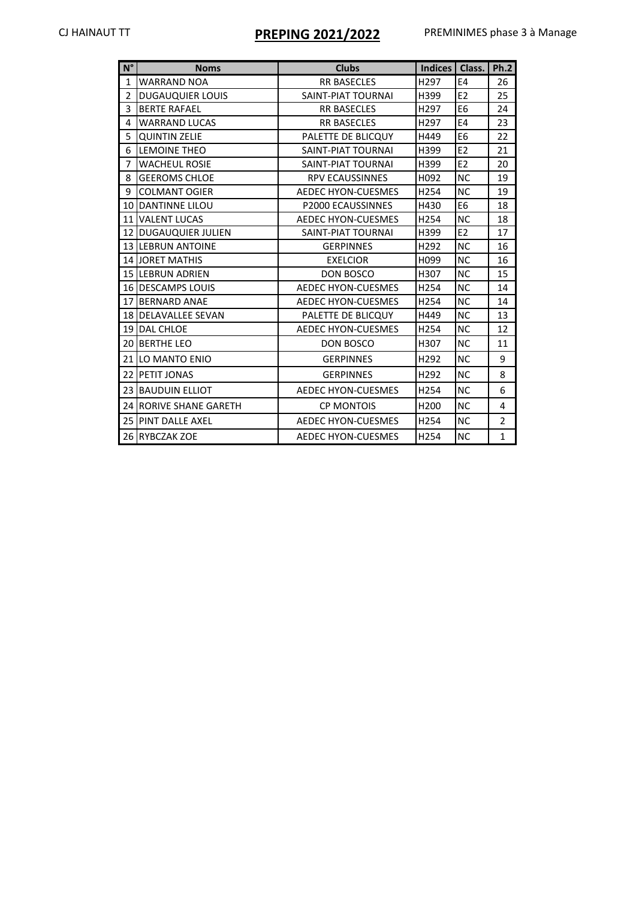# CJ HAINAUT TT **PREPING 2021/2022** PREMINIMES phase 3 à Manage

| $N^{\circ}$    | <b>Noms</b>                 | <b>Clubs</b>              | Indices   Class.       |                | Ph.2           |
|----------------|-----------------------------|---------------------------|------------------------|----------------|----------------|
| $\mathbf{1}$   | <b>WARRAND NOA</b>          | <b>RR BASECLES</b>        | H297                   | E4             | 26             |
| $\overline{2}$ | <b>DUGAUQUIER LOUIS</b>     | SAINT-PIAT TOURNAI        | H399                   | E2             | 25             |
| 3              | <b>BERTE RAFAEL</b>         | <b>RR BASECLES</b>        | H <sub>297</sub>       | E <sub>6</sub> | 24             |
| 4              | <b>WARRAND LUCAS</b>        | <b>RR BASECLES</b>        | H297                   | E <sub>4</sub> | 23             |
| 5              | <b>QUINTIN ZELIE</b>        | PALETTE DE BLICQUY        | H449                   | E <sub>6</sub> | 22             |
| 6              | LEMOINE THEO                | SAINT-PIAT TOURNAI        | H399                   | E <sub>2</sub> | 21             |
| $\overline{7}$ | <b>WACHEUL ROSIE</b>        | SAINT-PIAT TOURNAI        | E <sub>2</sub><br>H399 |                | 20             |
| 8              | <b>GEEROMS CHLOE</b>        | <b>RPV ECAUSSINNES</b>    | H092                   | <b>NC</b>      | 19             |
| 9              | <b>COLMANT OGIER</b>        | AEDEC HYON-CUESMES        | H <sub>254</sub>       | <b>NC</b>      | 19             |
|                | <b>10 DANTINNE LILOU</b>    | P2000 ECAUSSINNES         | H430                   | E <sub>6</sub> | 18             |
|                | <b>11 VALENT LUCAS</b>      | <b>AEDEC HYON-CUESMES</b> | H <sub>254</sub>       | <b>NC</b>      | 18             |
|                | 12 DUGAUQUIER JULIEN        | SAINT-PIAT TOURNAI        | H399                   | E <sub>2</sub> | 17             |
|                | <b>13 ILEBRUN ANTOINE</b>   | <b>GERPINNES</b>          | H292                   | <b>NC</b>      | 16             |
|                | <b>14 JORET MATHIS</b>      | <b>EXELCIOR</b>           | H <sub>099</sub>       | <b>NC</b>      | 16             |
|                | <b>15 ILEBRUN ADRIEN</b>    | DON BOSCO                 | H307                   | <b>NC</b>      | 15             |
|                | 16 DESCAMPS LOUIS           | AEDEC HYON-CUESMES        | H <sub>254</sub>       | <b>NC</b>      | 14             |
|                | 17 BERNARD ANAE             | <b>AEDEC HYON-CUESMES</b> | H <sub>254</sub>       | <b>NC</b>      | 14             |
|                | <b>18 IDELAVALLEE SEVAN</b> | PALETTE DE BLICQUY        | H449                   | <b>NC</b>      | 13             |
|                | 19 DAL CHLOE                | <b>AEDEC HYON-CUESMES</b> | H <sub>254</sub>       | <b>NC</b>      | 12             |
|                | 20 BERTHE LEO               | <b>DON BOSCO</b>          | H307                   | <b>NC</b>      | 11             |
|                | 21 LO MANTO ENIO            | <b>GERPINNES</b>          | H292                   | <b>NC</b>      | 9              |
|                | <b>22 PETIT JONAS</b>       | <b>GERPINNES</b>          | H <sub>292</sub>       | <b>NC</b>      | 8              |
|                | <b>23 BAUDUIN ELLIOT</b>    | AEDEC HYON-CUESMES        | H <sub>254</sub>       | <b>NC</b>      | 6              |
|                | 24 RORIVE SHANE GARETH      | <b>CP MONTOIS</b>         | H <sub>200</sub>       | <b>NC</b>      | 4              |
|                | <b>25 PINT DALLE AXEL</b>   | <b>AEDEC HYON-CUESMES</b> | H254                   | <b>NC</b>      | $\overline{2}$ |
|                | 26 RYBCZAK ZOE              | AEDEC HYON-CUESMES        | H254                   | <b>NC</b>      | $\mathbf{1}$   |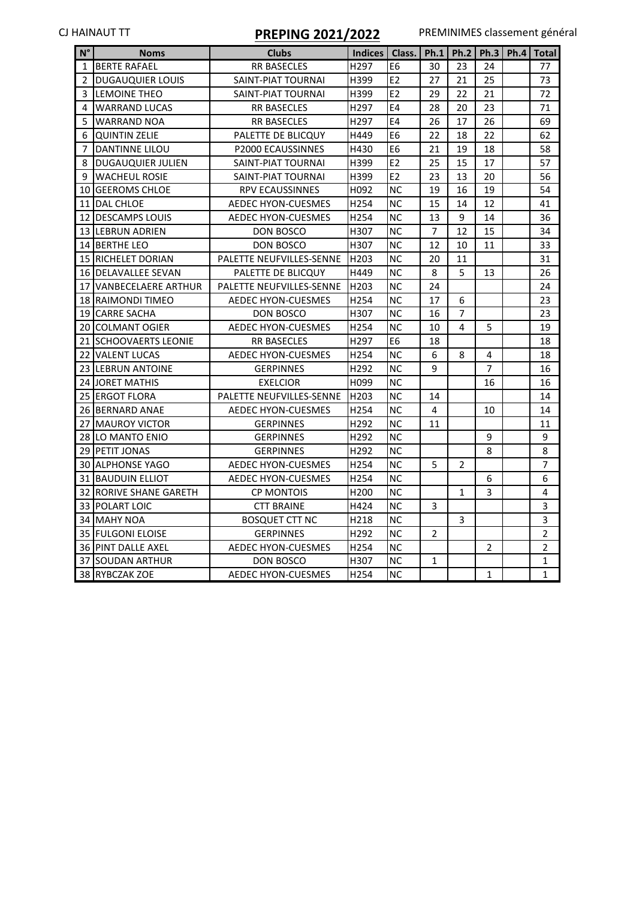# CJ HAINAUT TT **PREPING 2021/2022** PREMINIMES classement général

| $N^{\circ}$  | <b>Noms</b>                  | <b>Clubs</b>              | Indices   Class.   Ph.1   Ph.2   Ph.3   Ph.4   Total |                |                |                |                |                |
|--------------|------------------------------|---------------------------|------------------------------------------------------|----------------|----------------|----------------|----------------|----------------|
| $\mathbf{1}$ | <b>BERTE RAFAEL</b>          | <b>RR BASECLES</b>        | H297                                                 | E <sub>6</sub> | 30             | 23             | 24             | 77             |
| 2            | DUGAUQUIER LOUIS             | SAINT-PIAT TOURNAI        | H399                                                 | E <sub>2</sub> | 27             | 21             | 25             | 73             |
| 3            | <b>LEMOINE THEO</b>          | SAINT-PIAT TOURNAI        | H399                                                 | E <sub>2</sub> | 29             | 22             | 21             | 72             |
| 4            | <b>WARRAND LUCAS</b>         | RR BASECLES               | H297                                                 | E4             | 28             | 20             | 23             | 71             |
| 5            | <b>WARRAND NOA</b>           | <b>RR BASECLES</b>        | H297                                                 | E4             | 26             | 17             | 26             | 69             |
| 6            | <b>QUINTIN ZELIE</b>         | PALETTE DE BLICQUY        | H449                                                 | E6             | 22             | 18             | 22             | 62             |
| 7            | <b>DANTINNE LILOU</b>        | <b>P2000 ECAUSSINNES</b>  | H430                                                 | E <sub>6</sub> | 21             | 19             | 18             | 58             |
| 8            | <b>DUGAUQUIER JULIEN</b>     | SAINT-PIAT TOURNAI        | H399                                                 | E <sub>2</sub> | 25             | 15             | 17             | 57             |
| 9            | <b>WACHEUL ROSIE</b>         | SAINT-PIAT TOURNAI        | H399                                                 | E <sub>2</sub> | 23             | 13             | 20             | 56             |
|              | 10 GEEROMS CHLOE             | RPV ECAUSSINNES           | H092                                                 | <b>NC</b>      | 19             | 16             | 19             | 54             |
|              | 11 DAL CHLOE                 | <b>AEDEC HYON-CUESMES</b> | H254                                                 | <b>NC</b>      | 15             | 14             | 12             | 41             |
|              | 12 DESCAMPS LOUIS            | AEDEC HYON-CUESMES        | H254                                                 | <b>NC</b>      | 13             | 9              | 14             | 36             |
|              | 13 LEBRUN ADRIEN             | DON BOSCO                 | H307                                                 | ΝC             | 7              | 12             | 15             | 34             |
|              | <b>14 BERTHE LEO</b>         | DON BOSCO                 | H307                                                 | ΝC             | 12             | 10             | 11             | 33             |
|              | 15 RICHELET DORIAN           | PALETTE NEUFVILLES-SENNE  | H <sub>203</sub>                                     | NС             | 20             | 11             |                | 31             |
|              | 16 DELAVALLEE SEVAN          | PALETTE DE BLICQUY        | H449                                                 | <b>NC</b>      | 8              | 5              | 13             | 26             |
|              | 17 VANBECELAERE ARTHUR       | PALETTE NEUFVILLES-SENNE  | H203                                                 | NС             | 24             |                |                | 24             |
|              | 18 RAIMONDI TIMEO            | <b>AEDEC HYON-CUESMES</b> | H <sub>254</sub>                                     | <b>NC</b>      | 17             | 6              |                | 23             |
|              | 19 CARRE SACHA               | DON BOSCO                 | H307                                                 | <b>NC</b>      | 16             | $\overline{7}$ |                | 23             |
|              | 20 COLMANT OGIER             | AEDEC HYON-CUESMES        | H254                                                 | <b>NC</b>      | 10             | 4              | 5              | 19             |
|              | <b>21 SCHOOVAERTS LEONIE</b> | <b>RR BASECLES</b>        | H <sub>297</sub>                                     | E <sub>6</sub> | 18             |                |                | 18             |
|              | 22 VALENT LUCAS              | <b>AEDEC HYON-CUESMES</b> | H <sub>254</sub>                                     | <b>NC</b>      | 6              | 8              | 4              | 18             |
|              | 23 LEBRUN ANTOINE            | <b>GERPINNES</b>          | H292                                                 | <b>NC</b>      | 9              |                | $\overline{7}$ | 16             |
|              | <b>24 JORET MATHIS</b>       | <b>EXELCIOR</b>           | H099                                                 | <b>NC</b>      |                |                | 16             | 16             |
|              | 25 ERGOT FLORA               | PALETTE NEUFVILLES-SENNE  | H203                                                 | <b>NC</b>      | 14             |                |                | 14             |
|              | 26 BERNARD ANAE              | AEDEC HYON-CUESMES        | H254                                                 | <b>NC</b>      | 4              |                | 10             | 14             |
|              | 27 MAUROY VICTOR             | <b>GERPINNES</b>          | H292                                                 | <b>NC</b>      | 11             |                |                | 11             |
|              | <b>28 ILO MANTO ENIO</b>     | <b>GERPINNES</b>          | H292                                                 | ΝC             |                |                | 9              | 9              |
|              | 29 PETIT JONAS               | <b>GERPINNES</b>          | H292                                                 | <b>NC</b>      |                |                | 8              | 8              |
|              | 30 ALPHONSE YAGO             | AEDEC HYON-CUESMES        | H <sub>254</sub>                                     | ΝC             | 5              | 2              |                | $\overline{7}$ |
|              | 31 BAUDUIN ELLIOT            | <b>AEDEC HYON-CUESMES</b> | H254                                                 | <b>NC</b>      |                |                | 6              | 6              |
|              | 32 RORIVE SHANE GARETH       | <b>CP MONTOIS</b>         | H <sub>200</sub>                                     | NС             |                | 1              | 3              | 4              |
|              | 33 POLART LOIC               | <b>CTT BRAINE</b>         | H424                                                 | <b>NC</b>      | 3              |                |                | 3              |
|              | 34 MAHY NOA                  | <b>BOSQUET CTT NC</b>     | H218                                                 | NC.            |                | 3              |                | 3              |
|              | 35 FULGONI ELOISE            | <b>GERPINNES</b>          | H292                                                 | <b>NC</b>      | $\overline{2}$ |                |                | $\overline{2}$ |
|              | 36 PINT DALLE AXEL           | AEDEC HYON-CUESMES        | H254                                                 | <b>NC</b>      |                |                | $\overline{2}$ | $\overline{2}$ |
|              | 37 SOUDAN ARTHUR             | DON BOSCO                 | H307                                                 | <b>NC</b>      | 1              |                |                | $\mathbf{1}$   |
|              | 38 RYBCZAK ZOE               | AEDEC HYON-CUESMES        | H254                                                 | <b>NC</b>      |                |                | $\mathbf{1}$   | $\mathbf{1}$   |
|              |                              |                           |                                                      |                |                |                |                |                |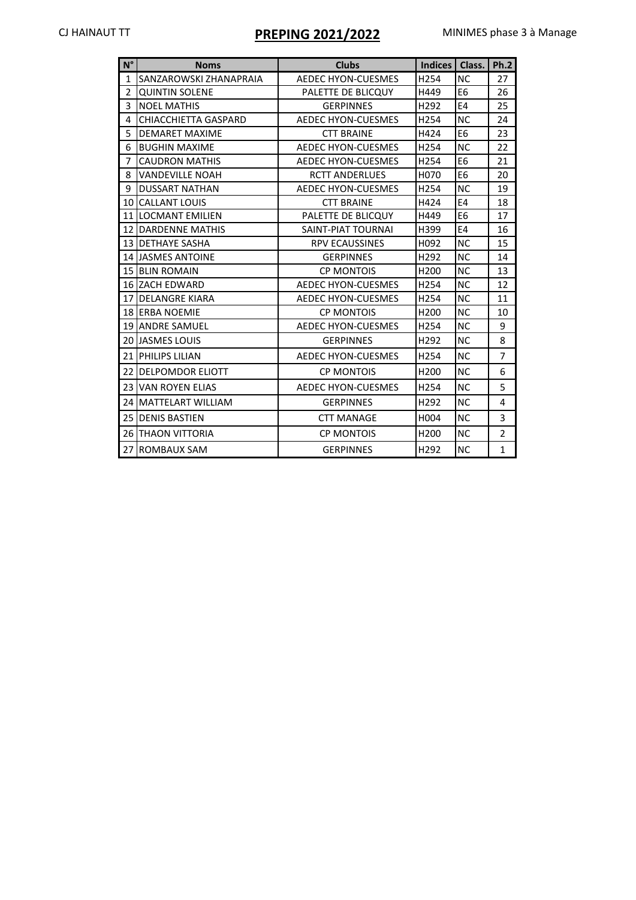# CJ HAINAUT TT **PREPING 2021/2022** MINIMES phase 3 à Manage

| $N^{\circ}$    | <b>Noms</b>                | <b>Clubs</b>                      | Indices   Class. |                | <b>Ph.2</b>    |
|----------------|----------------------------|-----------------------------------|------------------|----------------|----------------|
| 1              | SANZAROWSKI ZHANAPRAIA     | <b>AEDEC HYON-CUESMES</b>         | H254             | <b>NC</b>      | 27             |
| $\overline{2}$ | <b>QUINTIN SOLENE</b>      | PALETTE DE BLICQUY                | H449             | E <sub>6</sub> | 26             |
| 3              | <b>NOEL MATHIS</b>         | <b>GERPINNES</b>                  | H292             | E <sub>4</sub> | 25             |
| 4              | CHIACCHIETTA GASPARD       | H254<br><b>AEDEC HYON-CUESMES</b> |                  | <b>NC</b>      | 24             |
| 5              | <b>DEMARET MAXIME</b>      | <b>CTT BRAINE</b>                 | H424             | E <sub>6</sub> | 23             |
| 6              | <b>BUGHIN MAXIME</b>       | AEDEC HYON-CUESMES                | H <sub>254</sub> | <b>NC</b>      | 22             |
| 7              | <b>CAUDRON MATHIS</b>      | <b>AEDEC HYON-CUESMES</b>         | H254             | E <sub>6</sub> | 21             |
| 8              | <b>VANDEVILLE NOAH</b>     | <b>RCTT ANDERLUES</b>             | H070             | E <sub>6</sub> | 20             |
| 9              | <b>DUSSART NATHAN</b>      | <b>AEDEC HYON-CUESMES</b>         | H254             | <b>NC</b>      | 19             |
|                | <b>10 CALLANT LOUIS</b>    | <b>CTT BRAINE</b>                 | H424             | E <sub>4</sub> | 18             |
|                | <b>11 ILOCMANT EMILIEN</b> | PALETTE DE BLICQUY                | H449             | E <sub>6</sub> | 17             |
|                | <b>12 DARDENNE MATHIS</b>  | SAINT-PIAT TOURNAL                | H399             | E <sub>4</sub> | 16             |
|                | <b>13 IDETHAYE SASHA</b>   | <b>RPV ECAUSSINES</b>             | H <sub>092</sub> | <b>NC</b>      | 15             |
|                | <b>14 JASMES ANTOINE</b>   | <b>GERPINNES</b>                  | H292             | <b>NC</b>      | 14             |
|                | <b>15 BLIN ROMAIN</b>      | <b>CP MONTOIS</b>                 | H <sub>200</sub> | <b>NC</b>      | 13             |
|                | <b>16 ZACH EDWARD</b>      | <b>AEDEC HYON-CUESMES</b>         | H254             | <b>NC</b>      | 12             |
| 17             | <b>DELANGRE KIARA</b>      | <b>AEDEC HYON-CUESMES</b>         | H <sub>254</sub> | <b>NC</b>      | 11             |
|                | 18 ERBA NOEMIE             | <b>CP MONTOIS</b>                 | H <sub>200</sub> | <b>NC</b>      | 10             |
|                | <b>19 JANDRE SAMUEL</b>    | <b>AEDEC HYON-CUESMES</b>         | H <sub>254</sub> | <b>NC</b>      | 9              |
|                | <b>20 JJASMES LOUIS</b>    | <b>GERPINNES</b>                  | H <sub>292</sub> | <b>NC</b>      | 8              |
| 21             | <b>PHILIPS LILIAN</b>      | AEDEC HYON-CUESMES                | H <sub>254</sub> | <b>NC</b>      | $\overline{7}$ |
| 22             | <b>DELPOMDOR ELIOTT</b>    | <b>CP MONTOIS</b>                 | H <sub>200</sub> | <b>NC</b>      | 6              |
|                | <b>23 VAN ROYEN ELIAS</b>  | <b>AEDEC HYON-CUESMES</b>         | H254             | <b>NC</b>      | 5              |
|                | 24 MATTELART WILLIAM       | <b>GERPINNES</b>                  | H292             | <b>NC</b>      | 4              |
|                | <b>25 DENIS BASTIEN</b>    | <b>CTT MANAGE</b>                 | H004             | <b>NC</b>      | 3              |
|                | <b>26 ITHAON VITTORIA</b>  | <b>CP MONTOIS</b>                 | H <sub>200</sub> | <b>NC</b>      | $\overline{2}$ |
| 27             | <b>ROMBAUX SAM</b>         | <b>GERPINNES</b>                  | H292             | <b>NC</b>      | $\mathbf{1}$   |